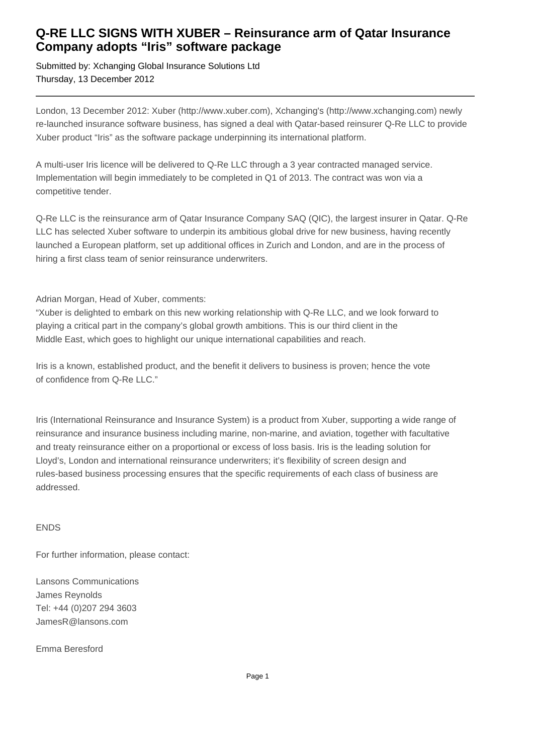## **Q-RE LLC SIGNS WITH XUBER – Reinsurance arm of Qatar Insurance Company adopts "Iris" software package**

Submitted by: Xchanging Global Insurance Solutions Ltd Thursday, 13 December 2012

London, 13 December 2012: Xuber (http://www.xuber.com), Xchanging's (http://www.xchanging.com) newly re-launched insurance software business, has signed a deal with Qatar-based reinsurer Q-Re LLC to provide Xuber product "Iris" as the software package underpinning its international platform.

A multi-user Iris licence will be delivered to Q-Re LLC through a 3 year contracted managed service. Implementation will begin immediately to be completed in Q1 of 2013. The contract was won via a competitive tender.

Q-Re LLC is the reinsurance arm of Qatar Insurance Company SAQ (QIC), the largest insurer in Qatar. Q-Re LLC has selected Xuber software to underpin its ambitious global drive for new business, having recently launched a European platform, set up additional offices in Zurich and London, and are in the process of hiring a first class team of senior reinsurance underwriters.

Adrian Morgan, Head of Xuber, comments:

"Xuber is delighted to embark on this new working relationship with Q-Re LLC, and we look forward to playing a critical part in the company's global growth ambitions. This is our third client in the Middle East, which goes to highlight our unique international capabilities and reach.

Iris is a known, established product, and the benefit it delivers to business is proven; hence the vote of confidence from Q-Re LLC."

Iris (International Reinsurance and Insurance System) is a product from Xuber, supporting a wide range of reinsurance and insurance business including marine, non-marine, and aviation, together with facultative and treaty reinsurance either on a proportional or excess of loss basis. Iris is the leading solution for Lloyd's, London and international reinsurance underwriters; it's flexibility of screen design and rules-based business processing ensures that the specific requirements of each class of business are addressed.

### ENDS

For further information, please contact:

Lansons Communications James Reynolds Tel: +44 (0)207 294 3603 JamesR@lansons.com

Emma Beresford